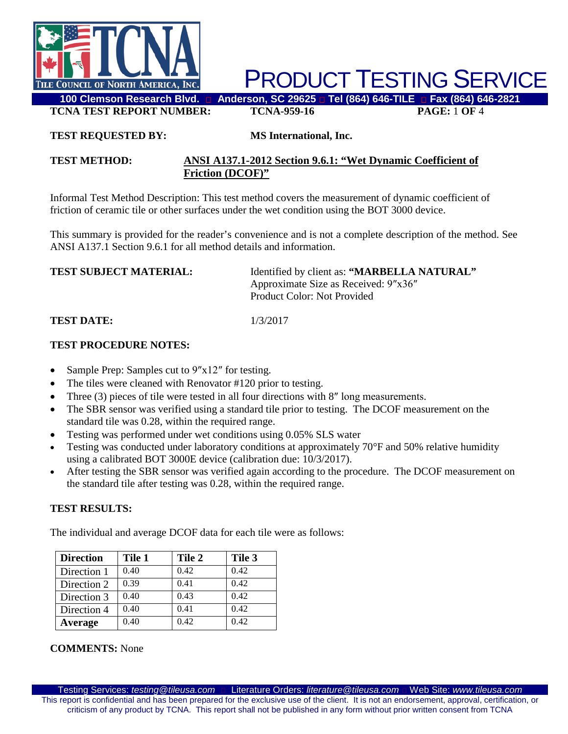

**TCNA TEST REPORT NUMBER: TCNA-959-16 PAGE:** 1 **OF** 4

### **TEST REQUESTED BY: MS International, Inc.**

### **TEST METHOD: ANSI A137.1-2012 Section 9.6.1: "Wet Dynamic Coefficient of Friction (DCOF)"**

Informal Test Method Description: This test method covers the measurement of dynamic coefficient of friction of ceramic tile or other surfaces under the wet condition using the BOT 3000 device.

This summary is provided for the reader's convenience and is not a complete description of the method. See ANSI A137.1 Section 9.6.1 for all method details and information.

| <b>TEST SUBJECT MATERIAL:</b> | Identified by client as: "MARBELLA NATURAL" |  |  |
|-------------------------------|---------------------------------------------|--|--|
|                               | Approximate Size as Received: 9"x36"        |  |  |
|                               | Product Color: Not Provided                 |  |  |
|                               |                                             |  |  |

**TEST DATE:** 1/3/2017

#### **TEST PROCEDURE NOTES:**

- Sample Prep: Samples cut to  $9''x12''$  for testing.
- The tiles were cleaned with Renovator #120 prior to testing.
- Three (3) pieces of tile were tested in all four directions with 8" long measurements.
- The SBR sensor was verified using a standard tile prior to testing. The DCOF measurement on the standard tile was 0.28, within the required range.
- Testing was performed under wet conditions using 0.05% SLS water
- Testing was conducted under laboratory conditions at approximately 70°F and 50% relative humidity using a calibrated BOT 3000E device (calibration due: 10/3/2017).
- After testing the SBR sensor was verified again according to the procedure. The DCOF measurement on the standard tile after testing was 0.28, within the required range.

## **TEST RESULTS:**

The individual and average DCOF data for each tile were as follows:

| <b>Direction</b> | Tile 1 | Tile 2 | Tile 3 |
|------------------|--------|--------|--------|
| Direction 1      | 0.40   | 0.42   | 0.42   |
| Direction 2      | 0.39   | 0.41   | 0.42   |
| Direction 3      | 0.40   | 0.43   | 0.42   |
| Direction 4      | 0.40   | 0.41   | 0.42   |
| Average          | 0.40   | 0.42   | 0.42   |

#### **COMMENTS:** None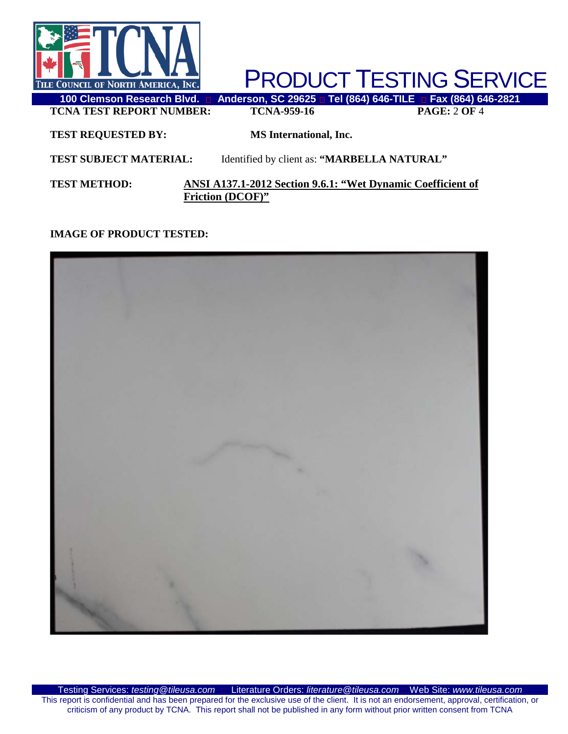

**TCNA TEST REPORT NUMBER: TCNA-959-16 PAGE:** 2 **OF** 4

**TEST REQUESTED BY: MS International, Inc.**

**TEST SUBJECT MATERIAL:** Identified by client as: **"MARBELLA NATURAL"**

**TEST METHOD: ANSI A137.1-2012 Section 9.6.1: "Wet Dynamic Coefficient of Friction (DCOF)"**

# **IMAGE OF PRODUCT TESTED:**

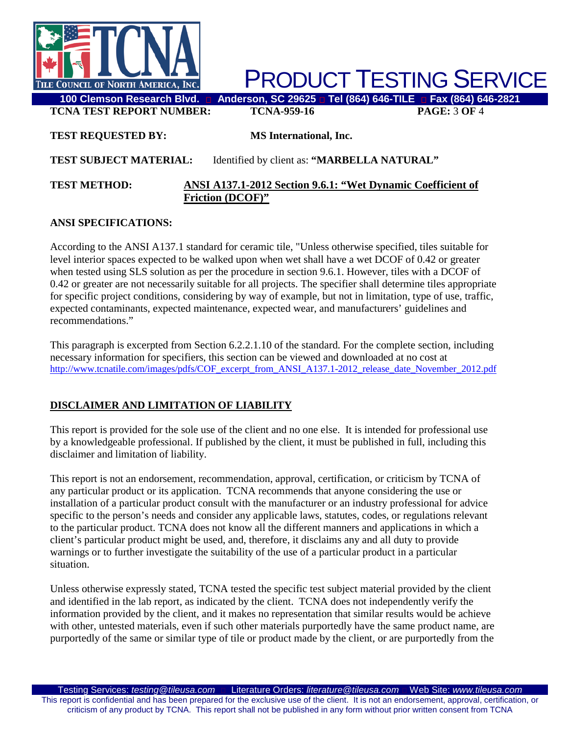

**TCNA TEST REPORT NUMBER: TCNA-959-16 PAGE:** 3 **OF** 4

## **TEST REQUESTED BY: MS International, Inc.**

## **TEST SUBJECT MATERIAL:** Identified by client as: **"MARBELLA NATURAL"**

#### **TEST METHOD: ANSI A137.1-2012 Section 9.6.1: "Wet Dynamic Coefficient of Friction (DCOF)"**

## **ANSI SPECIFICATIONS:**

According to the ANSI A137.1 standard for ceramic tile, "Unless otherwise specified, tiles suitable for level interior spaces expected to be walked upon when wet shall have a wet DCOF of 0.42 or greater when tested using SLS solution as per the procedure in section 9.6.1. However, tiles with a DCOF of 0.42 or greater are not necessarily suitable for all projects. The specifier shall determine tiles appropriate for specific project conditions, considering by way of example, but not in limitation, type of use, traffic, expected contaminants, expected maintenance, expected wear, and manufacturers' guidelines and recommendations."

This paragraph is excerpted from Section 6.2.2.1.10 of the standard. For the complete section, including necessary information for specifiers, this section can be viewed and downloaded at no cost at [http://www.tcnatile.com/images/pdfs/COF\\_excerpt\\_from\\_ANSI\\_A137.1-2012\\_release\\_date\\_November\\_2012.pdf](http://www.tcnatile.com/images/pdfs/COF_excerpt_from_ANSI_A137.1-2012_release_date_November_2012.pdf)

# **DISCLAIMER AND LIMITATION OF LIABILITY**

This report is provided for the sole use of the client and no one else. It is intended for professional use by a knowledgeable professional. If published by the client, it must be published in full, including this disclaimer and limitation of liability.

This report is not an endorsement, recommendation, approval, certification, or criticism by TCNA of any particular product or its application. TCNA recommends that anyone considering the use or installation of a particular product consult with the manufacturer or an industry professional for advice specific to the person's needs and consider any applicable laws, statutes, codes, or regulations relevant to the particular product. TCNA does not know all the different manners and applications in which a client's particular product might be used, and, therefore, it disclaims any and all duty to provide warnings or to further investigate the suitability of the use of a particular product in a particular situation.

Unless otherwise expressly stated, TCNA tested the specific test subject material provided by the client and identified in the lab report, as indicated by the client. TCNA does not independently verify the information provided by the client, and it makes no representation that similar results would be achieve with other, untested materials, even if such other materials purportedly have the same product name, are purportedly of the same or similar type of tile or product made by the client, or are purportedly from the